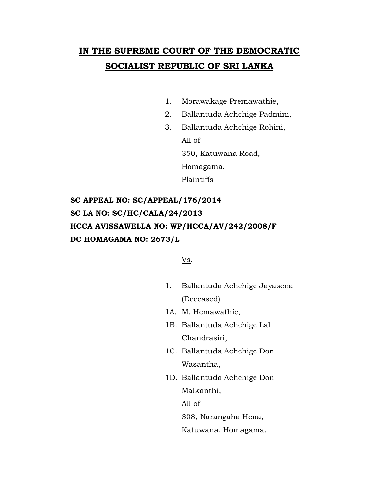# **IN THE SUPREME COURT OF THE DEMOCRATIC SOCIALIST REPUBLIC OF SRI LANKA**

- 1. Morawakage Premawathie,
- 2. Ballantuda Achchige Padmini,
- 3. Ballantuda Achchige Rohini, All of 350, Katuwana Road, Homagama.

Plaintiffs

**SC APPEAL NO: SC/APPEAL/176/2014 SC LA NO: SC/HC/CALA/24/2013 HCCA AVISSAWELLA NO: WP/HCCA/AV/242/2008/F DC HOMAGAMA NO: 2673/L**

Vs.

- 1. Ballantuda Achchige Jayasena (Deceased)
- 1A. M. Hemawathie,
- 1B. Ballantuda Achchige Lal Chandrasiri,
- 1C. Ballantuda Achchige Don Wasantha,
- 1D. Ballantuda Achchige Don Malkanthi,

All of

308, Narangaha Hena,

Katuwana, Homagama.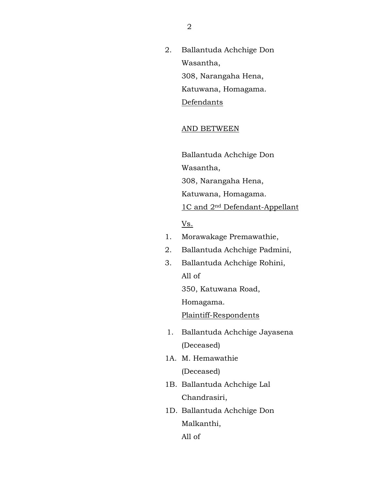2. Ballantuda Achchige Don Wasantha, 308, Narangaha Hena, Katuwana, Homagama. Defendants

#### AND BETWEEN

Ballantuda Achchige Don Wasantha,

308, Narangaha Hena,

Katuwana, Homagama.

1C and 2nd Defendant-Appellant

Vs.

- 1. Morawakage Premawathie,
- 2. Ballantuda Achchige Padmini,
- 3. Ballantuda Achchige Rohini,

All of

350, Katuwana Road,

Homagama.

Plaintiff-Respondents

- 1. Ballantuda Achchige Jayasena (Deceased)
- 1A. M. Hemawathie (Deceased)
- 1B. Ballantuda Achchige Lal Chandrasiri,
- 1D. Ballantuda Achchige Don Malkanthi,

All of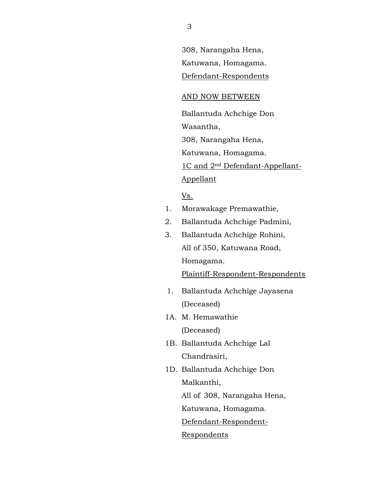308, Narangaha Hena, Katuwana, Homagama. Defendant-Respondents

#### AND NOW BETWEEN

Ballantuda Achchige Don

Wasantha,

308, Narangaha Hena,

Katuwana, Homagama.

1C and 2nd Defendant-Appellant-

## Appellant

Vs.

- 1. Morawakage Premawathie,
- 2. Ballantuda Achchige Padmini,
- 3. Ballantuda Achchige Rohini, All of 350, Katuwana Road, Homagama.

Plaintiff-Respondent-Respondents

- 1. Ballantuda Achchige Jayasena (Deceased)
- 1A. M. Hemawathie (Deceased)
- 1B. Ballantuda Achchige Lal Chandrasiri,
- 1D. Ballantuda Achchige Don Malkanthi, All of 308, Narangaha Hena, Katuwana, Homagama.

Defendant-Respondent-

Respondents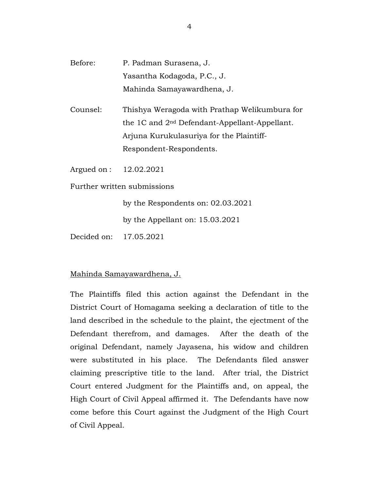- Before: P. Padman Surasena, J. Yasantha Kodagoda, P.C., J. Mahinda Samayawardhena, J.
- Counsel: Thishya Weragoda with Prathap Welikumbura for the 1C and 2nd Defendant-Appellant-Appellant. Arjuna Kurukulasuriya for the Plaintiff-Respondent-Respondents.

Argued on : 12.02.2021

Further written submissions

by the Respondents on: 02.03.2021 by the Appellant on: 15.03.2021

Decided on: 17.05.2021

### Mahinda Samayawardhena, J.

The Plaintiffs filed this action against the Defendant in the District Court of Homagama seeking a declaration of title to the land described in the schedule to the plaint, the ejectment of the Defendant therefrom, and damages. After the death of the original Defendant, namely Jayasena, his widow and children were substituted in his place. The Defendants filed answer claiming prescriptive title to the land. After trial, the District Court entered Judgment for the Plaintiffs and, on appeal, the High Court of Civil Appeal affirmed it. The Defendants have now come before this Court against the Judgment of the High Court of Civil Appeal.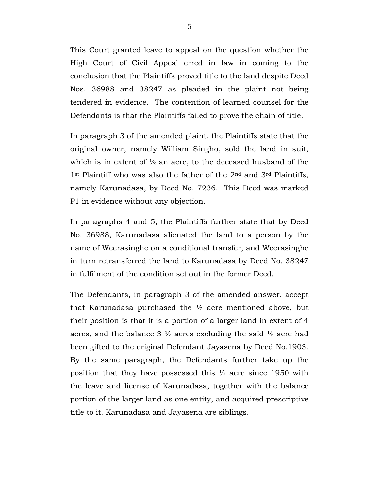This Court granted leave to appeal on the question whether the High Court of Civil Appeal erred in law in coming to the conclusion that the Plaintiffs proved title to the land despite Deed Nos. 36988 and 38247 as pleaded in the plaint not being tendered in evidence. The contention of learned counsel for the Defendants is that the Plaintiffs failed to prove the chain of title.

In paragraph 3 of the amended plaint, the Plaintiffs state that the original owner, namely William Singho, sold the land in suit, which is in extent of  $\frac{1}{2}$  an acre, to the deceased husband of the 1<sup>st</sup> Plaintiff who was also the father of the 2<sup>nd</sup> and 3<sup>rd</sup> Plaintiffs, namely Karunadasa, by Deed No. 7236. This Deed was marked P1 in evidence without any objection.

In paragraphs 4 and 5, the Plaintiffs further state that by Deed No. 36988, Karunadasa alienated the land to a person by the name of Weerasinghe on a conditional transfer, and Weerasinghe in turn retransferred the land to Karunadasa by Deed No. 38247 in fulfilment of the condition set out in the former Deed.

The Defendants, in paragraph 3 of the amended answer, accept that Karunadasa purchased the ½ acre mentioned above, but their position is that it is a portion of a larger land in extent of 4 acres, and the balance  $3\frac{1}{2}$  acres excluding the said  $\frac{1}{2}$  acre had been gifted to the original Defendant Jayasena by Deed No.1903. By the same paragraph, the Defendants further take up the position that they have possessed this ½ acre since 1950 with the leave and license of Karunadasa, together with the balance portion of the larger land as one entity, and acquired prescriptive title to it. Karunadasa and Jayasena are siblings.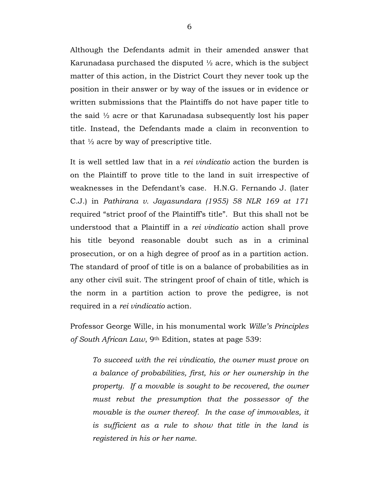Although the Defendants admit in their amended answer that Karunadasa purchased the disputed ½ acre, which is the subject matter of this action, in the District Court they never took up the position in their answer or by way of the issues or in evidence or written submissions that the Plaintiffs do not have paper title to the said ½ acre or that Karunadasa subsequently lost his paper title. Instead, the Defendants made a claim in reconvention to that  $\frac{1}{2}$  acre by way of prescriptive title.

It is well settled law that in a *rei vindicatio* action the burden is on the Plaintiff to prove title to the land in suit irrespective of weaknesses in the Defendant's case. H.N.G. Fernando J. (later C.J.) in *Pathirana v. Jayasundara (1955) 58 NLR 169 at 171* required "strict proof of the Plaintiff's title". But this shall not be understood that a Plaintiff in a *rei vindicatio* action shall prove his title beyond reasonable doubt such as in a criminal prosecution, or on a high degree of proof as in a partition action. The standard of proof of title is on a balance of probabilities as in any other civil suit. The stringent proof of chain of title, which is the norm in a partition action to prove the pedigree, is not required in a *rei vindicatio* action.

Professor George Wille, in his monumental work *Wille's Principles of South African Law*, 9th Edition, states at page 539:

*To succeed with the rei vindicatio, the owner must prove on a balance of probabilities, first, his or her ownership in the property. If a movable is sought to be recovered, the owner must rebut the presumption that the possessor of the movable is the owner thereof. In the case of immovables, it is sufficient as a rule to show that title in the land is registered in his or her name.*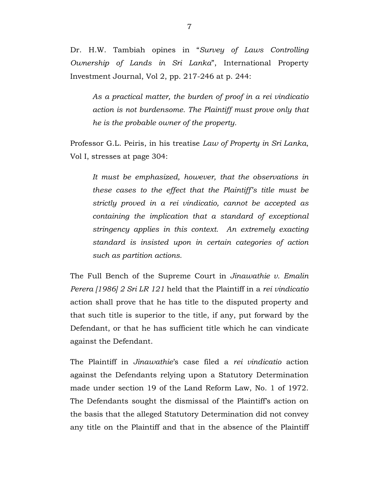Dr. H.W. Tambiah opines in "*Survey of Laws Controlling Ownership of Lands in Sri Lanka*", International Property Investment Journal, Vol 2, pp. 217-246 at p. 244:

*As a practical matter, the burden of proof in a rei vindicatio action is not burdensome. The Plaintiff must prove only that he is the probable owner of the property.*

Professor G.L. Peiris, in his treatise *Law of Property in Sri Lanka*, Vol I, stresses at page 304:

*It must be emphasized, however, that the observations in these cases to the effect that the Plaintiff's title must be strictly proved in a rei vindicatio, cannot be accepted as containing the implication that a standard of exceptional stringency applies in this context. An extremely exacting standard is insisted upon in certain categories of action such as partition actions.* 

The Full Bench of the Supreme Court in *Jinawathie v. Emalin Perera [1986] 2 Sri LR 121* held that the Plaintiff in a *rei vindicatio* action shall prove that he has title to the disputed property and that such title is superior to the title, if any, put forward by the Defendant, or that he has sufficient title which he can vindicate against the Defendant.

The Plaintiff in *Jinawathie*'s case filed a *rei vindicatio* action against the Defendants relying upon a Statutory Determination made under section 19 of the Land Reform Law, No. 1 of 1972. The Defendants sought the dismissal of the Plaintiff's action on the basis that the alleged Statutory Determination did not convey any title on the Plaintiff and that in the absence of the Plaintiff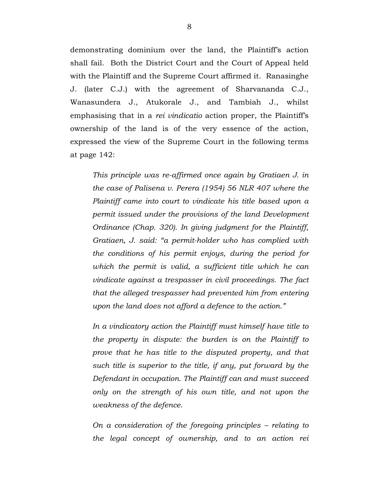demonstrating dominium over the land, the Plaintiff's action shall fail. Both the District Court and the Court of Appeal held with the Plaintiff and the Supreme Court affirmed it. Ranasinghe J. (later C.J.) with the agreement of Sharvananda C.J., Wanasundera J., Atukorale J., and Tambiah J., whilst emphasising that in a *rei vindicatio* action proper, the Plaintiff's ownership of the land is of the very essence of the action, expressed the view of the Supreme Court in the following terms at page 142:

*This principle was re-affirmed once again by Gratiaen J. in the case of Palisena v. Perera (1954) 56 NLR 407 where the Plaintiff came into court to vindicate his title based upon a permit issued under the provisions of the land Development Ordinance (Chap. 320). In giving judgment for the Plaintiff, Gratiaen, J. said: "a permit-holder who has complied with the conditions of his permit enjoys, during the period for which the permit is valid, a sufficient title which he can vindicate against a trespasser in civil proceedings. The fact that the alleged trespasser had prevented him from entering upon the land does not afford a defence to the action."* 

*In a vindicatory action the Plaintiff must himself have title to the property in dispute: the burden is on the Plaintiff to prove that he has title to the disputed property, and that such title is superior to the title, if any, put forward by the Defendant in occupation. The Plaintiff can and must succeed only on the strength of his own title, and not upon the weakness of the defence.*

*On a consideration of the foregoing principles – relating to the legal concept of ownership, and to an action rei*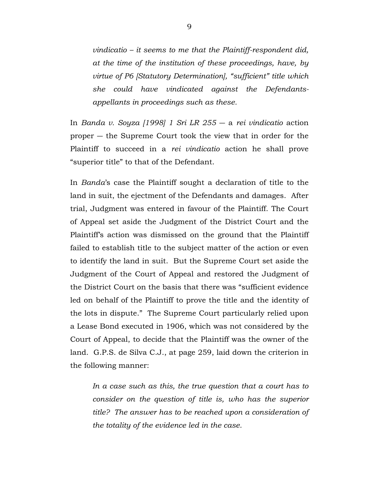*vindicatio – it seems to me that the Plaintiff-respondent did, at the time of the institution of these proceedings, have, by virtue of P6 [Statutory Determination], "sufficient" title which she could have vindicated against the Defendantsappellants in proceedings such as these.*

In *Banda v. Soyza [1998] 1 Sri LR 255* ― a *rei vindicatio* action proper ― the Supreme Court took the view that in order for the Plaintiff to succeed in a *rei vindicatio* action he shall prove "superior title" to that of the Defendant.

In *Banda*'s case the Plaintiff sought a declaration of title to the land in suit, the ejectment of the Defendants and damages. After trial, Judgment was entered in favour of the Plaintiff. The Court of Appeal set aside the Judgment of the District Court and the Plaintiff's action was dismissed on the ground that the Plaintiff failed to establish title to the subject matter of the action or even to identify the land in suit. But the Supreme Court set aside the Judgment of the Court of Appeal and restored the Judgment of the District Court on the basis that there was "sufficient evidence led on behalf of the Plaintiff to prove the title and the identity of the lots in dispute." The Supreme Court particularly relied upon a Lease Bond executed in 1906, which was not considered by the Court of Appeal, to decide that the Plaintiff was the owner of the land. G.P.S. de Silva C.J., at page 259, laid down the criterion in the following manner:

*In a case such as this, the true question that a court has to consider on the question of title is, who has the superior title? The answer has to be reached upon a consideration of the totality of the evidence led in the case.*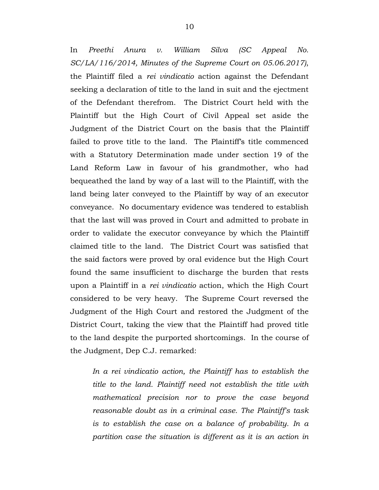In *Preethi Anura v. William Silva (SC Appeal No. SC/LA/116/2014, Minutes of the Supreme Court on 05.06.2017)*, the Plaintiff filed a *rei vindicatio* action against the Defendant seeking a declaration of title to the land in suit and the ejectment of the Defendant therefrom. The District Court held with the Plaintiff but the High Court of Civil Appeal set aside the Judgment of the District Court on the basis that the Plaintiff failed to prove title to the land. The Plaintiff's title commenced with a Statutory Determination made under section 19 of the Land Reform Law in favour of his grandmother, who had bequeathed the land by way of a last will to the Plaintiff, with the land being later conveyed to the Plaintiff by way of an executor conveyance. No documentary evidence was tendered to establish that the last will was proved in Court and admitted to probate in order to validate the executor conveyance by which the Plaintiff claimed title to the land. The District Court was satisfied that the said factors were proved by oral evidence but the High Court found the same insufficient to discharge the burden that rests upon a Plaintiff in a *rei vindicatio* action, which the High Court considered to be very heavy. The Supreme Court reversed the Judgment of the High Court and restored the Judgment of the District Court, taking the view that the Plaintiff had proved title

to the land despite the purported shortcomings. In the course of the Judgment, Dep C.J. remarked:

*In a rei vindicatio action, the Plaintiff has to establish the title to the land. Plaintiff need not establish the title with mathematical precision nor to prove the case beyond reasonable doubt as in a criminal case. The Plaintiff's task is to establish the case on a balance of probability. In a partition case the situation is different as it is an action in*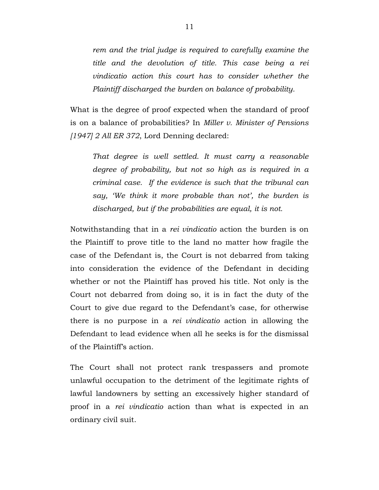*rem and the trial judge is required to carefully examine the title and the devolution of title. This case being a rei vindicatio action this court has to consider whether the Plaintiff discharged the burden on balance of probability.*

What is the degree of proof expected when the standard of proof is on a balance of probabilities? In *Miller v. Minister of Pensions [1947] 2 All ER 372*, Lord Denning declared:

*That degree is well settled. It must carry a reasonable degree of probability, but not so high as is required in a criminal case. If the evidence is such that the tribunal can say, 'We think it more probable than not', the burden is discharged, but if the probabilities are equal, it is not.*

Notwithstanding that in a *rei vindicatio* action the burden is on the Plaintiff to prove title to the land no matter how fragile the case of the Defendant is, the Court is not debarred from taking into consideration the evidence of the Defendant in deciding whether or not the Plaintiff has proved his title. Not only is the Court not debarred from doing so, it is in fact the duty of the Court to give due regard to the Defendant's case, for otherwise there is no purpose in a *rei vindicatio* action in allowing the Defendant to lead evidence when all he seeks is for the dismissal of the Plaintiff's action.

The Court shall not protect rank trespassers and promote unlawful occupation to the detriment of the legitimate rights of lawful landowners by setting an excessively higher standard of proof in a *rei vindicatio* action than what is expected in an ordinary civil suit.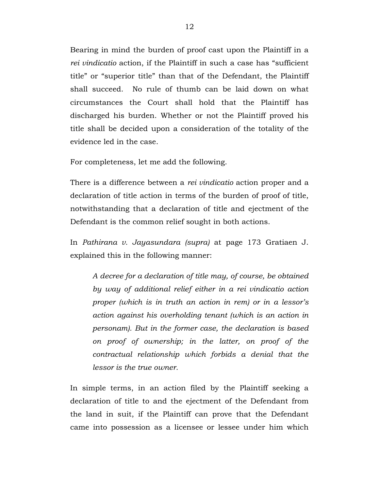Bearing in mind the burden of proof cast upon the Plaintiff in a *rei vindicatio* action, if the Plaintiff in such a case has "sufficient title" or "superior title" than that of the Defendant, the Plaintiff shall succeed. No rule of thumb can be laid down on what circumstances the Court shall hold that the Plaintiff has discharged his burden. Whether or not the Plaintiff proved his title shall be decided upon a consideration of the totality of the evidence led in the case.

For completeness, let me add the following.

There is a difference between a *rei vindicatio* action proper and a declaration of title action in terms of the burden of proof of title, notwithstanding that a declaration of title and ejectment of the Defendant is the common relief sought in both actions.

In *Pathirana v. Jayasundara (supra)* at page 173 Gratiaen J. explained this in the following manner:

*A decree for a declaration of title may, of course, be obtained by way of additional relief either in a rei vindicatio action proper (which is in truth an action in rem) or in a lessor's action against his overholding tenant (which is an action in personam). But in the former case, the declaration is based on proof of ownership; in the latter, on proof of the contractual relationship which forbids a denial that the lessor is the true owner.*

In simple terms, in an action filed by the Plaintiff seeking a declaration of title to and the ejectment of the Defendant from the land in suit, if the Plaintiff can prove that the Defendant came into possession as a licensee or lessee under him which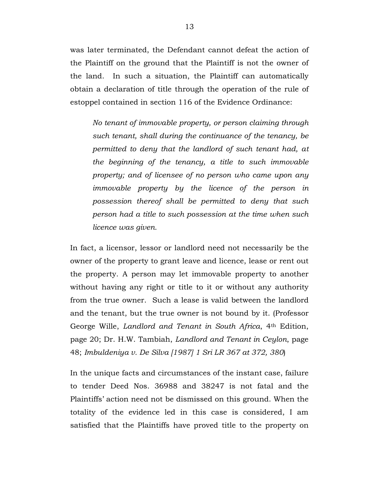was later terminated, the Defendant cannot defeat the action of the Plaintiff on the ground that the Plaintiff is not the owner of the land. In such a situation, the Plaintiff can automatically obtain a declaration of title through the operation of the rule of estoppel contained in section 116 of the Evidence Ordinance:

*No tenant of immovable property, or person claiming through such tenant, shall during the continuance of the tenancy, be permitted to deny that the landlord of such tenant had, at the beginning of the tenancy, a title to such immovable property; and of licensee of no person who came upon any immovable property by the licence of the person in possession thereof shall be permitted to deny that such person had a title to such possession at the time when such licence was given.*

In fact, a licensor, lessor or landlord need not necessarily be the owner of the property to grant leave and licence, lease or rent out the property. A person may let immovable property to another without having any right or title to it or without any authority from the true owner. Such a lease is valid between the landlord and the tenant, but the true owner is not bound by it. (Professor George Wille, *Landlord and Tenant in South Africa*, 4th Edition, page 20; Dr. H.W. Tambiah, *Landlord and Tenant in Ceylon*, page 48; *Imbuldeniya v. De Silva [1987] 1 Sri LR 367 at 372, 380*)

In the unique facts and circumstances of the instant case, failure to tender Deed Nos. 36988 and 38247 is not fatal and the Plaintiffs' action need not be dismissed on this ground. When the totality of the evidence led in this case is considered, I am satisfied that the Plaintiffs have proved title to the property on